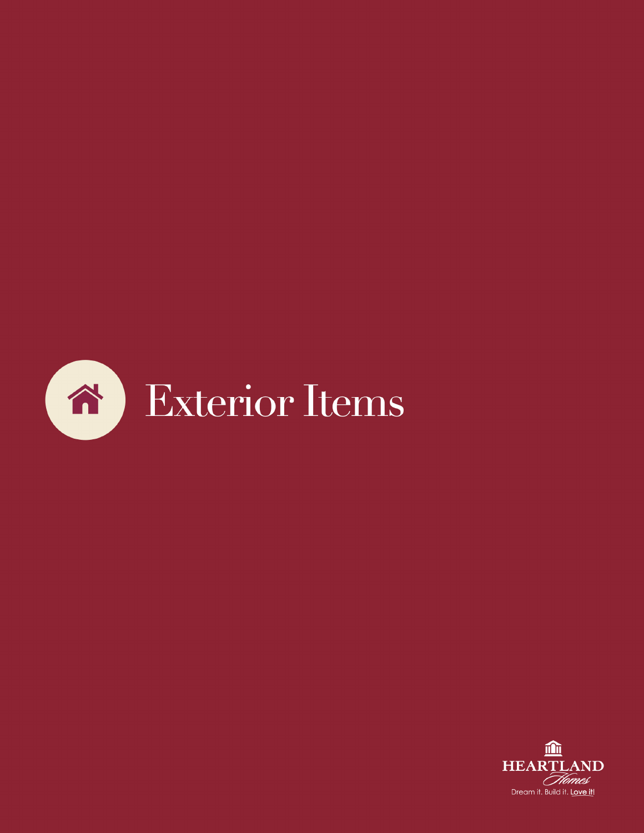

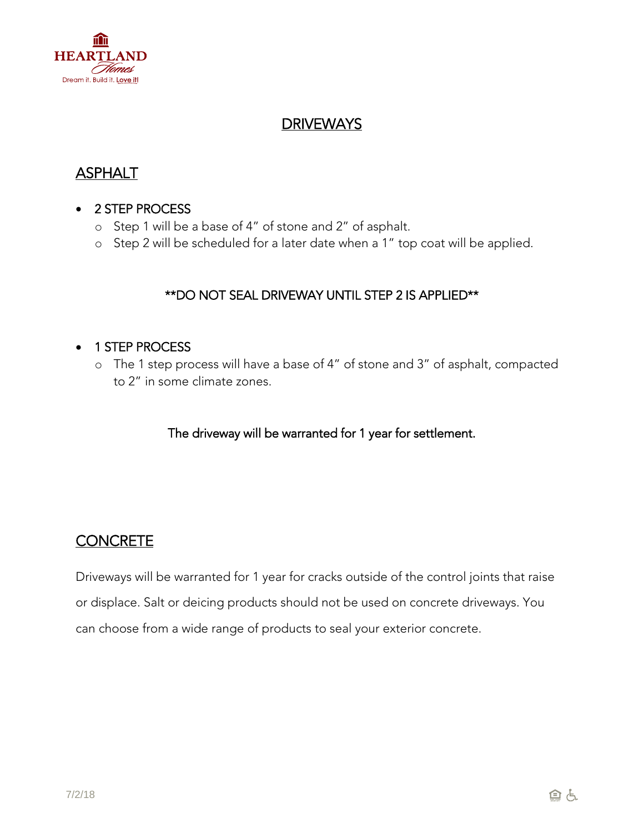

## **DRIVEWAYS**

# ASPHALT

#### 2 STEP PROCESS

- o Step 1 will be a base of 4" of stone and 2" of asphalt.
- o Step 2 will be scheduled for a later date when a 1" top coat will be applied.

#### \*\*DO NOT SEAL DRIVEWAY UNTIL STEP 2 IS APPLIED\*\*

#### • 1 STEP PROCESS

o The 1 step process will have a base of 4" of stone and 3" of asphalt, compacted to 2" in some climate zones.

The driveway will be warranted for 1 year for settlement.

### **CONCRETE**

Driveways will be warranted for 1 year for cracks outside of the control joints that raise or displace. Salt or deicing products should not be used on concrete driveways. You can choose from a wide range of products to seal your exterior concrete.